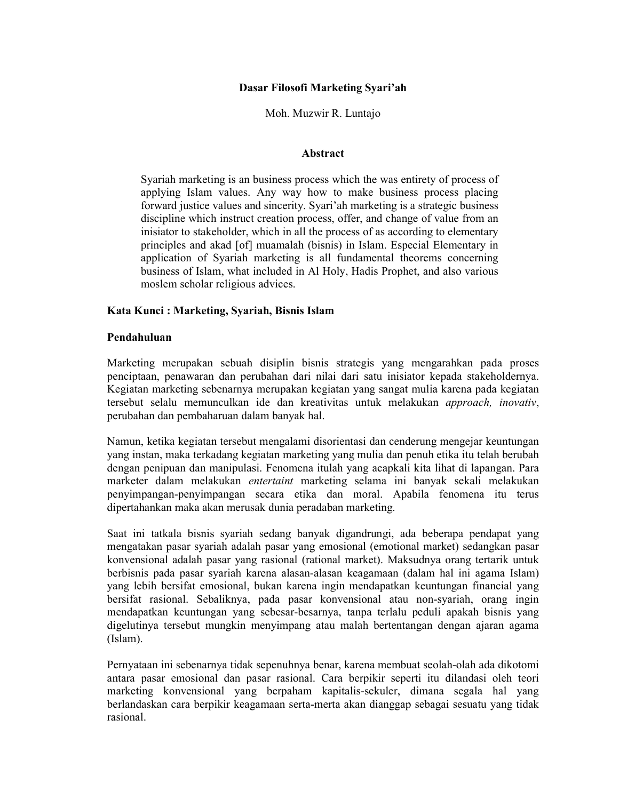# Dasar Filosofi Marketing Syari'ah

## Moh. Muzwir R. Luntajo

#### Abstract

Syariah marketing is an business process which the was entirety of process of applying Islam values. Any way how to make business process placing forward justice values and sincerity. Syari'ah marketing is a strategic business discipline which instruct creation process, offer, and change of value from an inisiator to stakeholder, which in all the process of as according to elementary principles and akad [of] muamalah (bisnis) in Islam. Especial Elementary in application of Syariah marketing is all fundamental theorems concerning business of Islam, what included in Al Holy, Hadis Prophet, and also various moslem scholar religious advices.

# Kata Kunci: Marketing, Syariah, Bisnis Islam

## Pendahuluan

Marketing merupakan sebuah disiplin bisnis strategis yang mengarahkan pada proses penciptaan, penawaran dan perubahan dari nilai dari satu inisiator kepada stakeholdernya. Kegiatan marketing sebenarnya merupakan kegiatan yang sangat mulia karena pada kegiatan tersebut selalu memunculkan ide dan kreativitas untuk melakukan approach, inovativ, perubahan dan pembaharuan dalam banyak hal.

Namun, ketika kegiatan tersebut mengalami disorientasi dan cenderung mengejar keuntungan yang instan, maka terkadang kegiatan marketing yang mulia dan penuh etika itu telah berubah dengan penipuan dan manipulasi. Fenomena itulah yang acapkali kita lihat di lapangan. Para marketer dalam melakukan *entertaint* marketing selama ini banyak sekali melakukan penyimpangan-penyimpangan secara etika dan moral. Apabila fenomena itu terus dipertahankan maka akan merusak dunia peradaban marketing.

Saat ini tatkala bisnis syariah sedang banyak digandrungi, ada beberapa pendapat yang mengatakan pasar syariah adalah pasar yang emosional (emotional market) sedangkan pasar konvensional adalah pasar yang rasional (rational market). Maksudnya orang tertarik untuk berbisnis pada pasar syariah karena alasan-alasan keagamaan (dalam hal ini agama Islam) yang lebih bersifat emosional, bukan karena ingin mendapatkan keuntungan financial yang bersifat rasional. Sebaliknya, pada pasar konvensional atau non-syariah, orang ingin mendapatkan keuntungan yang sebesar-besarnya, tanpa terlalu peduli apakah bisnis yang digelutinya tersebut mungkin menyimpang atau malah bertentangan dengan ajaran agama  $(Islam)$ .

Pernyataan ini sebenarnya tidak sepenuhnya benar, karena membuat seolah-olah ada dikotomi antara pasar emosional dan pasar rasional. Cara berpikir seperti itu dilandasi oleh teori marketing konvensional yang berpaham kapitalis-sekuler, dimana segala hal yang berlandaskan cara berpikir keagamaan serta-merta akan dianggap sebagai sesuatu yang tidak rasional.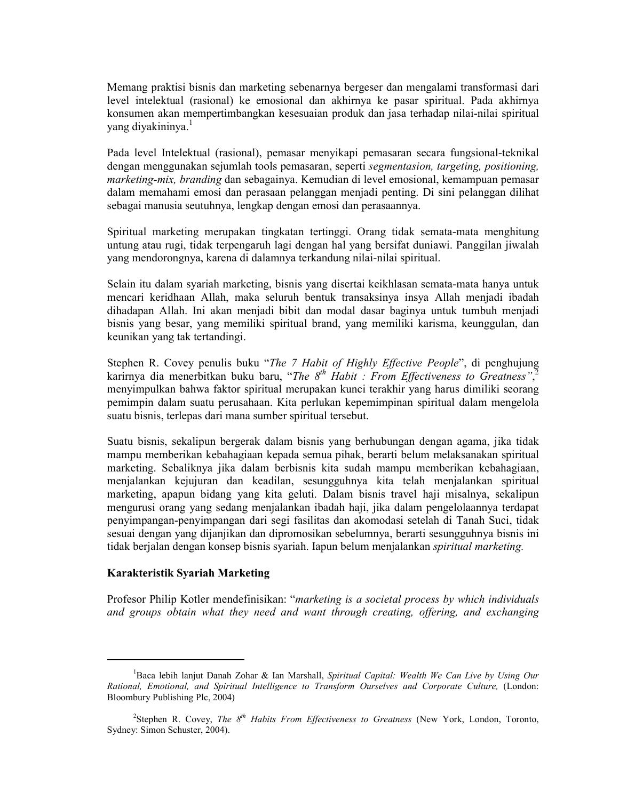Memang praktisi bisnis dan marketing sebenarnya bergeser dan mengalami transformasi dari level intelektual (rasional) ke emosional dan akhirnya ke pasar spiritual. Pada akhirnya konsumen akan mempertimbangkan kesesuaian produk dan jasa terhadap nilai-nilai spiritual yang diyakininya.<sup>1</sup>

Pada level Intelektual (rasional), pemasar menyikapi pemasaran secara fungsional-teknikal dengan menggunakan sejumlah tools pemasaran, seperti segmentasion, targeting, positioning, *marketing-mix, branding* dan sebagainya. Kemudian di level emosional, kemampuan pemasar dalam memahami emosi dan perasaan pelanggan menjadi penting. Di sini pelanggan dilihat sebagai manusia seutuhnya, lengkap dengan emosi dan perasaannya.

Spiritual marketing merupakan tingkatan tertinggi. Orang tidak semata-mata menghitung untung atau rugi, tidak terpengaruh lagi dengan hal yang bersifat duniawi. Panggilan jiwalah vang mendorongnya, karena di dalamnya terkandung nilai-nilai spiritual.

Selain itu dalam syariah marketing, bisnis yang disertai keikhlasan semata-mata hanya untuk mencari keridhaan Allah, maka seluruh bentuk transaksinya insya Allah menjadi ibadah dihadapan Allah. Ini akan menjadi bibit dan modal dasar baginya untuk tumbuh menjadi bisnis yang besar, yang memiliki spiritual brand, yang memiliki karisma, keunggulan, dan keunikan yang tak tertandingi.

Stephen R. Covey penulis buku "The 7 Habit of Highly Effective People", di penghujung karirnya dia menerbitkan buku baru, "The  $8^{th}$  Habit : From Effectiveness to Greatness". menyimpulkan bahwa faktor spiritual merupakan kunci terakhir yang harus dimiliki seorang pemimpin dalam suatu perusahaan. Kita perlukan kepemimpinan spiritual dalam mengelola suatu bisnis, terlepas dari mana sumber spiritual tersebut.

Suatu bisnis, sekalipun bergerak dalam bisnis yang berhubungan dengan agama, jika tidak mampu memberikan kebahagiaan kepada semua pihak, berarti belum melaksanakan spiritual marketing. Sebaliknya jika dalam berbisnis kita sudah mampu memberikan kebahagiaan, menjalankan kejujuran dan keadilan, sesungguhnya kita telah menjalankan spiritual marketing, apapun bidang yang kita geluti. Dalam bisnis travel haji misalnya, sekalipun mengurusi orang yang sedang menjalankan ibadah haji, jika dalam pengelolaannya terdapat penyimpangan-penyimpangan dari segi fasilitas dan akomodasi setelah di Tanah Suci, tidak sesuai dengan yang dijanjikan dan dipromosikan sebelumnya, berarti sesungguhnya bisnis ini tidak berjalan dengan konsep bisnis syariah. Iapun belum menjalankan *spiritual marketing*.

#### Karakteristik Syariah Marketing

Profesor Philip Kotler mendefinisikan: "marketing is a societal process by which individuals and groups obtain what they need and want through creating, offering, and exchanging

<sup>&</sup>lt;sup>1</sup>Baca lebih lanjut Danah Zohar & Ian Marshall, Spiritual Capital: Wealth We Can Live by Using Our Rational, Emotional, and Spiritual Intelligence to Transform Ourselves and Corporate Culture, (London: Bloombury Publishing Plc, 2004)

<sup>&</sup>lt;sup>2</sup>Stephen R. Covey, *The*  $8^{th}$  *Habits From Effectiveness to Greatness* (New York, London, Toronto, Sydney: Simon Schuster, 2004).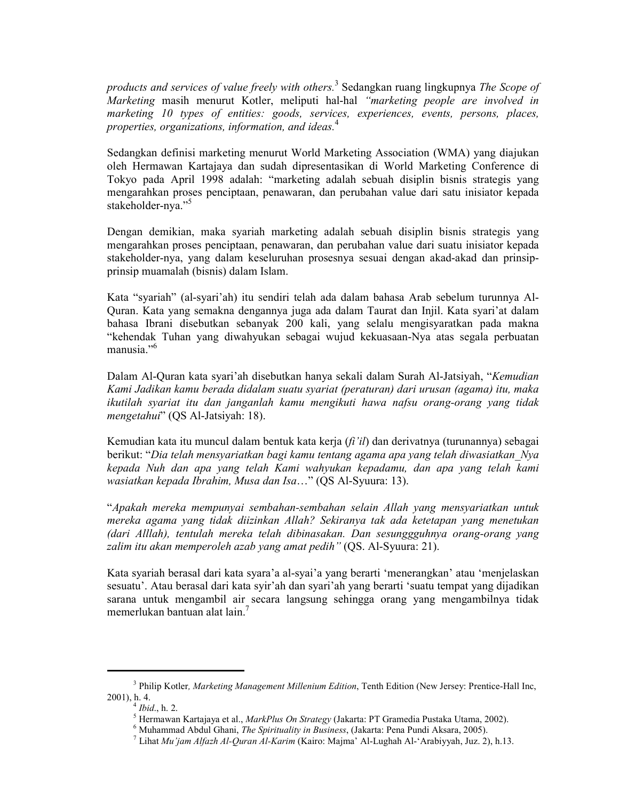products and services of value freely with others.<sup>3</sup> Sedangkan ruang lingkupnya The Scope of Marketing masih menurut Kotler, meliputi hal-hal "marketing people are involved in marketing 10 types of entities: goods, services, experiences, events, persons, places, properties, organizations, information, and ideas.<sup>4</sup>

Sedangkan definisi marketing menurut World Marketing Association (WMA) yang diajukan oleh Hermawan Kartajaya dan sudah dipresentasikan di World Marketing Conference di Tokyo pada April 1998 adalah: "marketing adalah sebuah disiplin bisnis strategis yang mengarahkan proses penciptaan, penawaran, dan perubahan value dari satu inisiator kepada stakeholder-nya."<sup>5</sup>

Dengan demikian, maka syariah marketing adalah sebuah disiplin bisnis strategis yang mengarahkan proses penciptaan, penawaran, dan perubahan value dari suatu inisiator kepada stakeholder-nya, yang dalam keseluruhan prosesnya sesuai dengan akad-akad dan prinsipprinsip muamalah (bisnis) dalam Islam.

Kata "syariah" (al-syari'ah) itu sendiri telah ada dalam bahasa Arab sebelum turunnya Al-Quran. Kata yang semakna dengannya juga ada dalam Taurat dan Injil. Kata syari'at dalam bahasa Ibrani disebutkan sebanyak 200 kali, yang selalu mengisyaratkan pada makna "kehendak Tuhan yang diwahyukan sebagai wujud kekuasaan-Nya atas segala perbuatan  $manusia.$ <sup>56</sup>

Dalam Al-Quran kata syari'ah disebutkan hanya sekali dalam Surah Al-Jatsiyah, "Kemudian Kami Jadikan kamu berada didalam suatu syariat (peraturan) dari urusan (agama) itu, maka ikutilah syariat itu dan janganlah kamu mengikuti hawa nafsu orang-orang yang tidak *mengetahui*" (QS Al-Jatsiyah: 18).

Kemudian kata itu muncul dalam bentuk kata kerja  $(f_i'i_l)$  dan derivatnya (turunannya) sebagai berikut: "Dia telah mensyariatkan bagi kamu tentang agama apa yang telah diwasiatkan Nya kepada Nuh dan apa yang telah Kami wahyukan kepadamu, dan apa yang telah kami wasiatkan kepada Ibrahim, Musa dan Isa..." (QS Al-Syuura: 13).

"Apakah mereka mempunyai sembahan-sembahan selain Allah yang mensyariatkan untuk mereka agama yang tidak diizinkan Allah? Sekiranya tak ada ketetapan yang menetukan (dari Alllah), tentulah mereka telah dibinasakan. Dan sesunggguhnya orang-orang vang zalim itu akan memperoleh azab yang amat pedih" (OS. Al-Syuura: 21).

Kata syariah berasal dari kata syara'a al-syai'a yang berarti 'menerangkan' atau 'menjelaskan sesuatu'. Atau berasal dari kata syir'ah dan syari'ah yang berarti 'suatu tempat yang dijadikan sarana untuk mengambil air secara langsung sehingga orang yang mengambilnya tidak memerlukan bantuan alat lain.<sup>7</sup>

<sup>&</sup>lt;sup>3</sup> Philip Kotler, Marketing Management Millenium Edition, Tenth Edition (New Jersey: Prentice-Hall Inc. 2001), h. 4.

 $\frac{1}{2}$  Ibid., h. 2.

<sup>5</sup> Hermawan Kartajaya et al., MarkPlus On Strategy (Jakarta: PT Gramedia Pustaka Utama, 2002).

 $<sup>6</sup>$  Muhammad Abdul Ghani, *The Spirituality in Business*, (Jakarta: Pena Pundi Aksara, 2005).</sup>

<sup>&</sup>lt;sup>7</sup> Lihat Mu'jam Alfazh Al-Ouran Al-Karim (Kairo: Majma' Al-Lughah Al-'Arabiyyah, Juz. 2), h.13.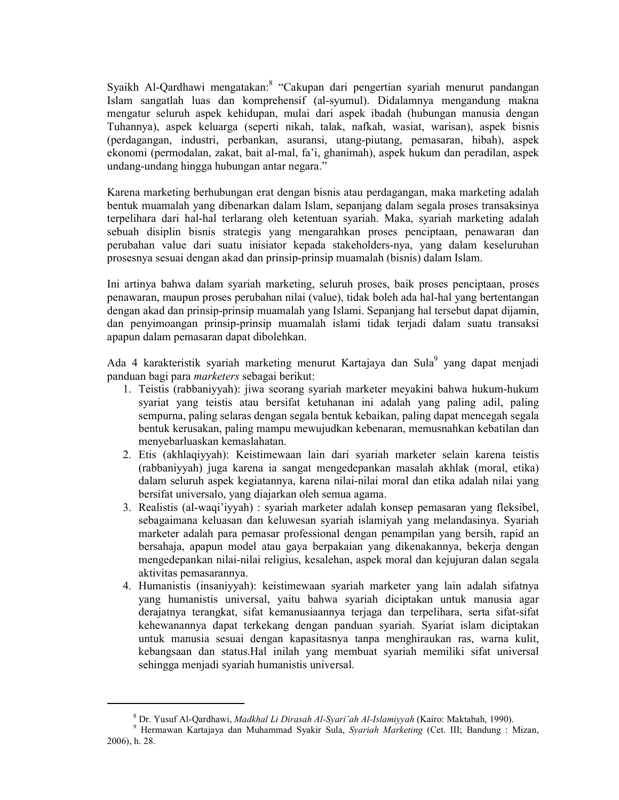Syaikh Al-Qardhawi mengatakan.<sup>8</sup> "Cakupan dari pengertian syariah menurut pandangan Islam sangatlah luas dan komprehensif (al-syumul). Didalamnya mengandung makna mengatur seluruh aspek kehidupan, mulai dari aspek ibadah (hubungan manusia dengan Tuhannya), aspek keluarga (seperti nikah, talak, nafkah, wasiat, warisan), aspek bisnis (perdagangan, industri, perbankan, asuransi, utang-piutang, pemasaran, hibah), aspek ekonomi (permodalan, zakat, bait al-mal, fa'i, ghanimah), aspek hukum dan peradilan, aspek undang-undang hingga hubungan antar negara."

Karena marketing berhubungan erat dengan bisnis atau perdagangan, maka marketing adalah bentuk muamalah yang dibenarkan dalam Islam, sepanjang dalam segala proses transaksinya terpelihara dari hal-hal terlarang oleh ketentuan syariah. Maka, syariah marketing adalah sebuah disiplin bisnis strategis yang mengarahkan proses penciptaan, penawaran dan perubahan value dari suatu inisiator kepada stakeholders-nya, yang dalam keseluruhan prosesnya sesuai dengan akad dan prinsip-prinsip muamalah (bisnis) dalam Islam.

Ini artinya bahwa dalam syariah marketing, seluruh proses, baik proses penciptaan, proses penawaran, maupun proses perubahan nilai (value), tidak boleh ada hal-hal yang bertentangan dengan akad dan prinsip-prinsip muamalah yang Islami. Sepanjang hal tersebut dapat dijamin, dan penyimoangan prinsip-prinsip muamalah islami tidak terjadi dalam suatu transaksi apapun dalam pemasaran dapat dibolehkan.

Ada 4 karakteristik syariah marketing menurut Kartajaya dan Sula<sup>9</sup> yang dapat menjadi panduan bagi para *marketers* sebagai berikut:

- 1. Teistis (rabbaniyyah): jiwa seorang syariah marketer meyakini bahwa hukum-hukum svariat vang teistis atau bersifat ketuhanan ini adalah yang paling adil, paling sempurna, paling selaras dengan segala bentuk kebaikan, paling dapat mencegah segala bentuk kerusakan, paling mampu mewujudkan kebenaran, memusnahkan kebatilan dan menyebarluaskan kemaslahatan.
- 2. Etis (akhlaqiyyah): Keistimewaan lain dari syariah marketer selain karena teistis (rabbaniyyah) juga karena ia sangat mengedepankan masalah akhlak (moral, etika) dalam seluruh aspek kegiatannya, karena nilai-nilai moral dan etika adalah nilai yang bersifat universalo, yang diajarkan oleh semua agama.
- 3. Realistis (al-waqi'iyyah) : syariah marketer adalah konsep pemasaran yang fleksibel, sebagaimana keluasan dan keluwesan syariah islamiyah yang melandasinya. Syariah marketer adalah para pemasar professional dengan penampilan yang bersih, rapid an bersahaja, apapun model atau gaya berpakaian yang dikenakannya, bekerja dengan mengedepankan nilai-nilai religius, kesalehan, aspek moral dan kejujuran dalan segala aktivitas pemasarannya.
- 4. Humanistis (insaniyyah): keistimewaan syariah marketer yang lain adalah sifatnya yang humanistis universal, yaitu bahwa syariah diciptakan untuk manusia agar derajatnya terangkat, sifat kemanusiaannya terjaga dan terpelihara, serta sifat-sifat kehewanannya dapat terkekang dengan panduan syariah. Syariat islam diciptakan untuk manusia sesuai dengan kapasitasnya tanpa menghiraukan ras, warna kulit, kebangsaan dan status. Hal inilah yang membuat syariah memiliki sifat universal sehingga menjadi syariah humanistis universal.

<sup>&</sup>lt;sup>8</sup> Dr. Yusuf Al-Qardhawi, Madkhal Li Dirasah Al-Syari'ah Al-Islamiyyah (Kairo: Maktabah, 1990).

<sup>&</sup>lt;sup>9</sup> Hermawan Kartajaya dan Muhammad Syakir Sula, Syariah Marketing (Cet. III; Bandung : Mizan, 2006), h. 28.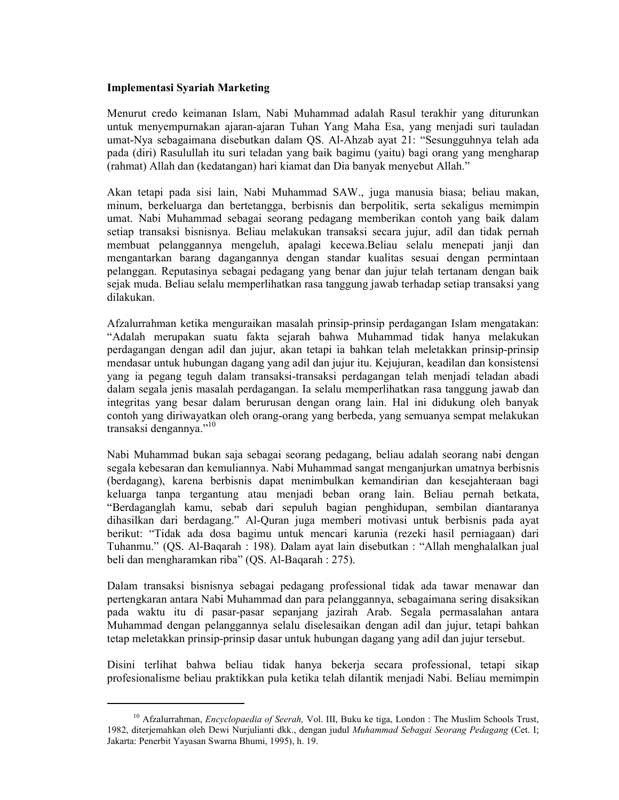# **Implementasi Syariah Marketing**

Menurut credo keimanan Islam, Nabi Muhammad adalah Rasul terakhir yang diturunkan untuk menyempurnakan ajaran-ajaran Tuhan Yang Maha Esa, yang menjadi suri tauladan umat-Nya sebagaimana disebutkan dalam OS, Al-Ahzab ayat 21: "Sesungguhnya telah ada pada (diri) Rasulullah itu suri teladan yang baik bagimu (yaitu) bagi orang yang mengharap (rahmat) Allah dan (kedatangan) hari kiamat dan Dia banyak menyebut Allah."

Akan tetapi pada sisi lain, Nabi Muhammad SAW., juga manusia biasa; beliau makan, minum, berkeluarga dan bertetangga, berbisnis dan berpolitik, serta sekaligus memimpin umat. Nabi Muhammad sebagai seorang pedagang memberikan contoh yang baik dalam setiap transaksi bisnisnya. Beliau melakukan transaksi secara jujur, adil dan tidak pernah membuat pelanggannya mengeluh, apalagi kecewa.Beliau selalu menepati janji dan mengantarkan barang dagangannya dengan standar kualitas sesuai dengan permintaan pelanggan. Reputasinya sebagai pedagang yang benar dan jujur telah tertanam dengan baik sejak muda. Beliau selalu memperlihatkan rasa tanggung jawab terhadap setiap transaksi yang dilakukan

Afzalurrahman ketika menguraikan masalah prinsip-prinsip perdagangan Islam mengatakan: "Adalah merupakan suatu fakta sejarah bahwa Muhammad tidak hanya melakukan perdagangan dengan adil dan jujur, akan tetapi ia bahkan telah meletakkan prinsip-prinsip mendasar untuk hubungan dagang yang adil dan jujur itu. Kejujuran, keadilan dan konsistensi yang ia pegang teguh dalam transaksi-transaksi perdagangan telah menjadi teladan abadi dalam segala jenis masalah perdagangan. Ia selalu memperlihatkan rasa tanggung jawab dan integritas yang besar dalam berurusan dengan orang lain. Hal ini didukung oleh banyak contoh yang diriwayatkan oleh orang-orang yang berbeda, yang semuanya sempat melakukan transaksi dengannya."<sup>10</sup>

Nabi Muhammad bukan saja sebagai seorang pedagang, beliau adalah seorang nabi dengan segala kebesaran dan kemuliannya. Nabi Muhammad sangat menganjurkan umatnya berbisnis (berdagang), karena berbisnis dapat menimbulkan kemandirian dan kesejahteraan bagi keluarga tanpa tergantung atau menjadi beban orang lain. Beliau pernah betkata, "Berdaganglah kamu, sebab dari sepuluh bagian penghidupan, sembilan diantaranya dihasilkan dari berdagang." Al-Quran juga memberi motivasi untuk berbisnis pada ayat berikut: "Tidak ada dosa bagimu untuk mencari karunia (rezeki hasil perniagaan) dari Tuhanmu." (OS. Al-Bagarah : 198). Dalam ayat lain disebutkan : "Allah menghalalkan jual beli dan mengharamkan riba" (QS. Al-Baqarah : 275).

Dalam transaksi bisnisnya sebagai pedagang professional tidak ada tawar menawar dan pertengkaran antara Nabi Muhammad dan para pelanggannya, sebagaimana sering disaksikan pada waktu itu di pasar-pasar sepanjang jazirah Arab. Segala permasalahan antara Muhammad dengan pelanggannya selalu diselesaikan dengan adil dan jujur, tetapi bahkan tetap meletakkan prinsip-prinsip dasar untuk hubungan dagang yang adil dan jujur tersebut.

Disini terlihat bahwa beliau tidak hanya bekerja secara professional, tetapi sikap profesionalisme beliau praktikkan pula ketika telah dilantik menjadi Nabi. Beliau memimpin

<sup>&</sup>lt;sup>10</sup> Afzalurrahman, *Encyclopaedia of Seerah*, Vol. III, Buku ke tiga, London : The Muslim Schools Trust, 1982, diterjemahkan oleh Dewi Nurjulianti dkk., dengan judul Muhammad Sebagai Seorang Pedagang (Cet. I; Jakarta: Penerbit Yayasan Swarna Bhumi, 1995), h. 19.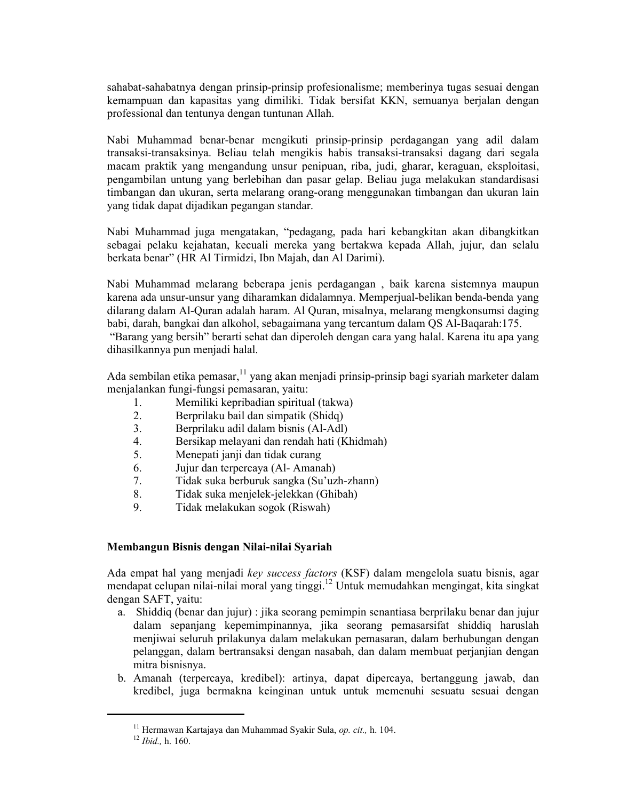sahabat-sahabatnya dengan prinsip-prinsip profesionalisme; memberinya tugas sesuai dengan kemampuan dan kapasitas yang dimiliki. Tidak bersifat KKN, semuanya berjalan dengan professional dan tentunya dengan tuntunan Allah.

Nabi Muhammad benar-benar mengikuti prinsip-prinsip perdagangan yang adil dalam transaksi-transaksinya. Beliau telah mengikis habis transaksi-transaksi dagang dari segala macam praktik yang mengandung unsur penipuan, riba, judi, gharar, keraguan, eksploitasi, pengambilan untung yang berlebihan dan pasar gelap. Beliau juga melakukan standardisasi timbangan dan ukuran, serta melarang orang-orang menggunakan timbangan dan ukuran lain yang tidak dapat dijadikan pegangan standar.

Nabi Muhammad juga mengatakan, "pedagang, pada hari kebangkitan akan dibangkitkan sebagai pelaku kejahatan, kecuali mereka yang bertakwa kepada Allah, jujur, dan selalu berkata benar" (HR Al Tirmidzi, Ibn Majah, dan Al Darimi).

Nabi Muhammad melarang beberapa jenis perdagangan, baik karena sistemnya maupun karena ada unsur-unsur yang diharamkan didalamnya. Memperjual-belikan benda-benda yang dilarang dalam Al-Quran adalah haram. Al Quran, misalnya, melarang mengkonsumsi daging babi, darah, bangkai dan alkohol, sebagaimana yang tercantum dalam QS Al-Bagarah: 175.

"Barang yang bersih" berarti sehat dan diperoleh dengan cara yang halal. Karena itu apa yang dihasilkannya pun menjadi halal.

Ada sembilan etika pemasar, <sup>11</sup> yang akan menjadi prinsip-prinsip bagi syariah marketer dalam menjalankan fungi-fungsi pemasaran, yaitu:

- Memiliki kepribadian spiritual (takwa)  $\mathbf{1}$
- $2<sup>1</sup>$ Berprilaku bail dan simpatik (Shidq)
- $3<sub>1</sub>$ Berprilaku adil dalam bisnis (Al-Adl)
- $\overline{4}$ Bersikap melayani dan rendah hati (Khidmah)
- $5<sub>1</sub>$ Menepati janji dan tidak curang
- 6. Jujur dan terpercaya (Al-Amanah)
- $7<sub>1</sub>$ Tidak suka berburuk sangka (Su'uzh-zhann)
- $8<sup>1</sup>$ Tidak suka menjelek-jelekkan (Ghibah)
- $9<sub>1</sub>$ Tidak melakukan sogok (Riswah)

# Membangun Bisnis dengan Nilai-nilai Syariah

Ada empat hal yang menjadi key success factors (KSF) dalam mengelola suatu bisnis, agar mendapat celupan nilai-nilai moral yang tinggi.<sup>12</sup> Untuk memudahkan mengingat, kita singkat dengan SAFT, yaitu:

- a. Shiddiq (benar dan jujur) : jika seorang pemimpin senantiasa berprilaku benar dan jujur dalam sepanjang kepemimpinannya, jika seorang pemasarsifat shiddiq haruslah menjiwai seluruh prilakunya dalam melakukan pemasaran, dalam berhubungan dengan pelanggan, dalam bertransaksi dengan nasabah, dan dalam membuat perjanjian dengan mitra bisnisnya.
- b. Amanah (terpercaya, kredibel): artinya, dapat dipercaya, bertanggung jawab, dan kredibel, juga bermakna keinginan untuk untuk memenuhi sesuatu sesuai dengan

<sup>&</sup>lt;sup>11</sup> Hermawan Kartajaya dan Muhammad Syakir Sula. op. cit., h. 104.

 $12$  *Ibid.*, h. 160.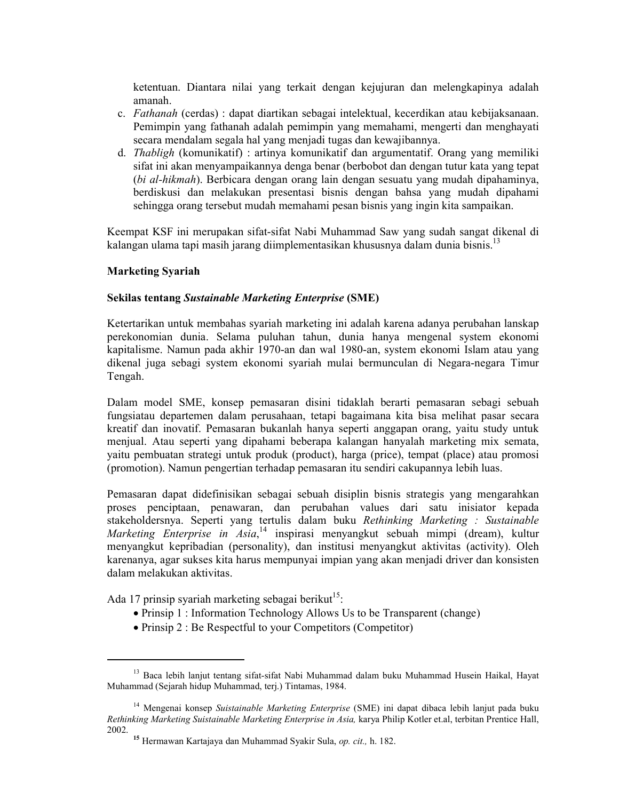ketentuan. Diantara nilai yang terkait dengan kejujuran dan melengkapinya adalah amanah.

- c. *Fathanah* (cerdas): dapat diartikan sebagai intelektual, kecerdikan atau kebijaksanaan. Pemimpin yang fathanah adalah pemimpin yang memahami, mengerti dan menghayati secara mendalam segala hal yang menjadi tugas dan kewajibannya.
- d. *Thabligh* (komunikatif) : artinya komunikatif dan argumentatif. Orang yang memiliki sifat ini akan menyampaikannya denga benar (berbobot dan dengan tutur kata yang tepat (bi al-hikmah). Berbicara dengan orang lain dengan sesuatu yang mudah dipahaminya, berdiskusi dan melakukan presentasi bisnis dengan bahsa yang mudah dipahami sehingga orang tersebut mudah memahami pesan bisnis yang ingin kita sampaikan.

Keempat KSF ini merupakan sifat-sifat Nabi Muhammad Saw yang sudah sangat dikenal di kalangan ulama tapi masih jarang diimplementasikan khususnya dalam dunia bisnis.<sup>13</sup>

## **Marketing Syariah**

## **Sekilas tentang Sustainable Marketing Enterprise (SME)**

Ketertarikan untuk membahas syariah marketing ini adalah karena adanya perubahan lanskap perekonomian dunia. Selama puluhan tahun, dunia hanya mengenal system ekonomi kapitalisme. Namun pada akhir 1970-an dan wal 1980-an, system ekonomi Islam atau yang dikenal juga sebagi system ekonomi syariah mulai bermunculan di Negara-negara Timur Tengah.

Dalam model SME, konsep pemasaran disini tidaklah berarti pemasaran sebagi sebuah fungsiatau departemen dalam perusahaan, tetapi bagaimana kita bisa melihat pasar secara kreatif dan inovatif. Pemasaran bukanlah hanya seperti anggapan orang, yaitu study untuk menjual. Atau seperti yang dipahami beberapa kalangan hanyalah marketing mix semata, yaitu pembuatan strategi untuk produk (product), harga (price), tempat (place) atau promosi (promotion). Namun pengertian terhadap pemasaran itu sendiri cakupannya lebih luas.

Pemasaran dapat didefinisikan sebagai sebuah disiplin bisnis strategis yang mengarahkan proses penciptaan, penawaran, dan perubahan values dari satu inisiator kepada stakeholdersnya. Seperti yang tertulis dalam buku Rethinking Marketing : Sustainable Marketing Enterprise in Asia,<sup>14</sup> inspirasi menyangkut sebuah mimpi (dream), kultur menyangkut kepribadian (personality), dan institusi menyangkut aktivitas (activity). Oleh karenanya, agar sukses kita harus mempunyai impian yang akan menjadi driver dan konsisten dalam melakukan aktivitas.

Ada 17 prinsip syariah marketing sebagai berikut<sup>15</sup>.

- Prinsip 1: Information Technology Allows Us to be Transparent (change)
- Prinsip 2 : Be Respectful to your Competitors (Competitor)

<sup>&</sup>lt;sup>13</sup> Baca lebih lanjut tentang sifat-sifat Nabi Muhammad dalam buku Muhammad Husein Haikal, Hayat Muhammad (Sejarah hidup Muhammad, terj.) Tintamas, 1984.

<sup>&</sup>lt;sup>14</sup> Mengenai konsep Suistainable Marketing Enterprise (SME) ini dapat dibaca lebih lanjut pada buku Rethinking Marketing Suistainable Marketing Enterprise in Asia, karya Philip Kotler et al, terbitan Prentice Hall, 2002.

<sup>&</sup>lt;sup>15</sup> Hermawan Kartajaya dan Muhammad Syakir Sula, *op. cit.*, h. 182.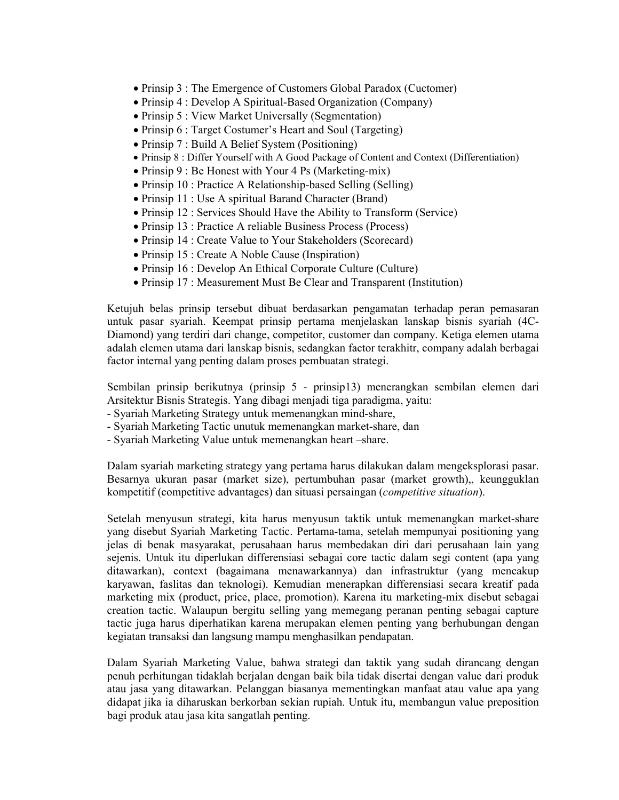- Prinsip 3 : The Emergence of Customers Global Paradox (Cuctomer)
- Prinsip 4 : Develop A Spiritual-Based Organization (Company)
- Prinsip 5: View Market Universally (Segmentation)
- Prinsip 6 : Target Costumer's Heart and Soul (Targeting)
- Prinsip  $7:$  Build A Belief System (Positioning)
- Prinsip 8 : Differ Yourself with A Good Package of Content and Context (Differentiation)
- Prinsip 9 : Be Honest with Your 4 Ps (Marketing-mix)
- Prinsip 10 : Practice A Relationship-based Selling (Selling)
- Prinsip 11 : Use A spiritual Barand Character (Brand)
- Prinsip 12 : Services Should Have the Ability to Transform (Service)
- Prinsip 13 : Practice A reliable Business Process (Process)
- Prinsip 14 : Create Value to Your Stakeholders (Scorecard)
- Prinsip 15 : Create A Noble Cause (Inspiration)
- Prinsip 16 : Develop An Ethical Corporate Culture (Culture)
- Prinsip 17: Measurement Must Be Clear and Transparent (Institution)

Ketujuh belas prinsip tersebut dibuat berdasarkan pengamatan terhadap peran pemasaran untuk pasar syariah. Keempat prinsip pertama menjelaskan lanskap bisnis syariah (4C-Diamond) yang terdiri dari change, competitor, customer dan company. Ketiga elemen utama adalah elemen utama dari lanskap bisnis, sedangkan factor terakhitr, company adalah berbagai factor internal yang penting dalam proses pembuatan strategi.

Sembilan prinsip berikutnya (prinsip 5 - prinsip 13) menerangkan sembilan elemen dari Arsitektur Bisnis Strategis. Yang dibagi menjadi tiga paradigma, yaitu:

- Syariah Marketing Strategy untuk memenangkan mind-share.
- Syariah Marketing Tactic unutuk memenangkan market-share, dan
- Syariah Marketing Value untuk memenangkan heart -share.

Dalam syariah marketing strategy yang pertama harus dilakukan dalam mengeksplorasi pasar. Besarnya ukuran pasar (market size), pertumbuhan pasar (market growth), keungguklan kompetitif (competitive advantages) dan situasi persaingan (*competitive situation*).

Setelah menyusun strategi, kita harus menyusun taktik untuk memenangkan market-share yang disebut Syariah Marketing Tactic. Pertama-tama, setelah mempunyai positioning yang jelas di benak masyarakat, perusahaan harus membedakan diri dari perusahaan lain yang sejenis. Untuk itu diperlukan differensiasi sebagai core tactic dalam segi content (apa yang ditawarkan), context (bagaimana menawarkannya) dan infrastruktur (yang mencakup karyawan, faslitas dan teknologi). Kemudian menerapkan differensiasi secara kreatif pada marketing mix (product, price, place, promotion). Karena itu marketing-mix disebut sebagai creation tactic. Walaupun bergitu selling yang memegang peranan penting sebagai capture tactic juga harus diperhatikan karena merupakan elemen penting yang berhubungan dengan kegiatan transaksi dan langsung mampu menghasilkan pendapatan.

Dalam Syariah Marketing Value, bahwa strategi dan taktik yang sudah dirancang dengan penuh perhitungan tidaklah berjalan dengan baik bila tidak disertai dengan value dari produk atau jasa yang ditawarkan. Pelanggan biasanya mementingkan manfaat atau value apa yang didapat jika ia diharuskan berkorban sekian rupiah. Untuk itu, membangun value preposition bagi produk atau jasa kita sangatlah penting.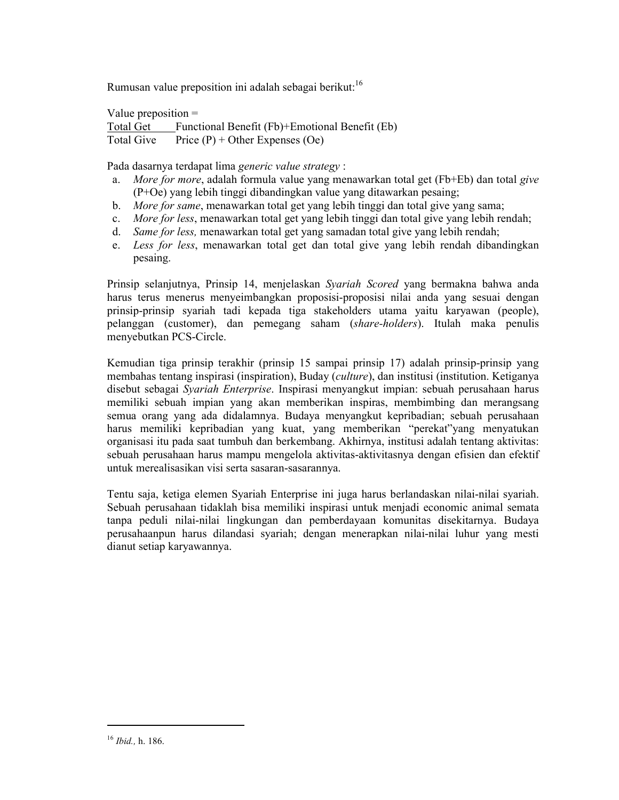Rumusan value preposition ini adalah sebagai berikut:<sup>16</sup>

Value preposition  $=$ Total Get Functional Benefit (Fb)+Emotional Benefit (Eb) Price  $(P)$  + Other Expenses (Oe) Total Give

Pada dasarnya terdapat lima generic value strategy :

- a. More for more, adalah formula value yang menawarkan total get (Fb+Eb) dan total give (P+Oe) yang lebih tinggi dibandingkan value yang ditawarkan pesaing;
- b. More for same, menawarkan total get yang lebih tinggi dan total give yang sama;
- More for less, menawarkan total get yang lebih tinggi dan total give yang lebih rendah;  $c_{-}$
- Same for less, menawarkan total get yang samadan total give yang lebih rendah;  $d_{\cdot}$
- e. Less for less, menawarkan total get dan total give yang lebih rendah dibandingkan pesaing.

Prinsip selanjutnya, Prinsip 14, menjelaskan Syariah Scored yang bermakna bahwa anda harus terus menerus menyeimbangkan proposisi-proposisi nilai anda yang sesuai dengan prinsip-prinsip syariah tadi kepada tiga stakeholders utama yaitu karyawan (people), pelanggan (customer), dan pemegang saham (share-holders). Itulah maka penulis menyebutkan PCS-Circle.

Kemudian tiga prinsip terakhir (prinsip 15 sampai prinsip 17) adalah prinsip-prinsip yang membahas tentang inspirasi (inspiration), Buday (culture), dan institusi (institution. Ketiganya disebut sebagai Syariah Enterprise. Inspirasi menyangkut impian: sebuah perusahaan harus memiliki sebuah impian yang akan memberikan inspiras, membimbing dan merangsang semua orang yang ada didalamnya. Budaya menyangkut kepribadian; sebuah perusahaan harus memiliki kepribadian yang kuat, yang memberikan "perekat"yang menyatukan organisasi itu pada saat tumbuh dan berkembang. Akhirnya, institusi adalah tentang aktivitas: sebuah perusahaan harus mampu mengelola aktivitas-aktivitasnya dengan efisien dan efektif untuk merealisasikan visi serta sasaran-sasarannya.

Tentu saja, ketiga elemen Syariah Enterprise ini juga harus berlandaskan nilai-nilai syariah. Sebuah perusahaan tidaklah bisa memiliki inspirasi untuk menjadi economic animal semata tanpa peduli nilai-nilai lingkungan dan pemberdayaan komunitas disekitarnya. Budaya perusahaanpun harus dilandasi syariah; dengan menerapkan nilai-nilai luhur yang mesti dianut setiap karyawannya.

 $16$  *Ibid.*, h. 186.